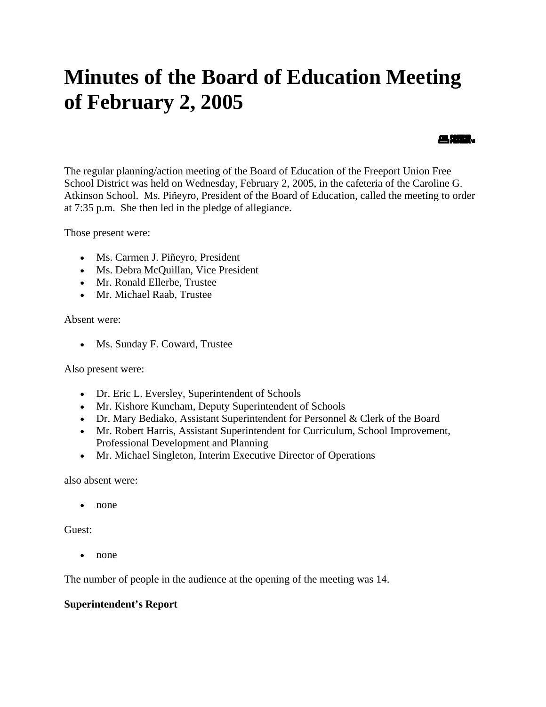# **Minutes of the Board of Education Meeting of February 2, 2005**

The regular planning/action meeting of the Board of Education of the Freeport Union Free School District was held on Wednesday, February 2, 2005, in the cafeteria of the Caroline G. Atkinson School. Ms. Piñeyro, President of the Board of Education, called the meeting to order at 7:35 p.m. She then led in the pledge of allegiance.

昌雄龍。

Those present were:

- Ms. Carmen J. Piñeyro, President
- Ms. Debra McQuillan, Vice President
- Mr. Ronald Ellerbe, Trustee
- Mr. Michael Raab, Trustee

Absent were:

• Ms. Sunday F. Coward, Trustee

Also present were:

- Dr. Eric L. Eversley, Superintendent of Schools
- Mr. Kishore Kuncham, Deputy Superintendent of Schools
- Dr. Mary Bediako, Assistant Superintendent for Personnel & Clerk of the Board
- Mr. Robert Harris, Assistant Superintendent for Curriculum, School Improvement, Professional Development and Planning
- Mr. Michael Singleton, Interim Executive Director of Operations

also absent were:

• none

Guest:

• none

The number of people in the audience at the opening of the meeting was 14.

#### **Superintendent's Report**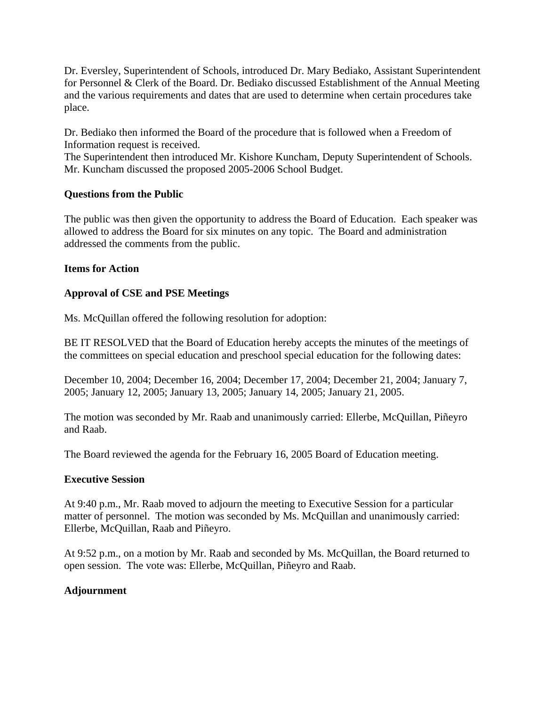Dr. Eversley, Superintendent of Schools, introduced Dr. Mary Bediako, Assistant Superintendent for Personnel & Clerk of the Board. Dr. Bediako discussed Establishment of the Annual Meeting and the various requirements and dates that are used to determine when certain procedures take place.

Dr. Bediako then informed the Board of the procedure that is followed when a Freedom of Information request is received.

The Superintendent then introduced Mr. Kishore Kuncham, Deputy Superintendent of Schools. Mr. Kuncham discussed the proposed 2005-2006 School Budget.

## **Questions from the Public**

The public was then given the opportunity to address the Board of Education. Each speaker was allowed to address the Board for six minutes on any topic. The Board and administration addressed the comments from the public.

## **Items for Action**

## **Approval of CSE and PSE Meetings**

Ms. McQuillan offered the following resolution for adoption:

BE IT RESOLVED that the Board of Education hereby accepts the minutes of the meetings of the committees on special education and preschool special education for the following dates:

December 10, 2004; December 16, 2004; December 17, 2004; December 21, 2004; January 7, 2005; January 12, 2005; January 13, 2005; January 14, 2005; January 21, 2005.

The motion was seconded by Mr. Raab and unanimously carried: Ellerbe, McQuillan, Piñeyro and Raab.

The Board reviewed the agenda for the February 16, 2005 Board of Education meeting.

#### **Executive Session**

At 9:40 p.m., Mr. Raab moved to adjourn the meeting to Executive Session for a particular matter of personnel. The motion was seconded by Ms. McQuillan and unanimously carried: Ellerbe, McQuillan, Raab and Piñeyro.

At 9:52 p.m., on a motion by Mr. Raab and seconded by Ms. McQuillan, the Board returned to open session. The vote was: Ellerbe, McQuillan, Piñeyro and Raab.

#### **Adjournment**